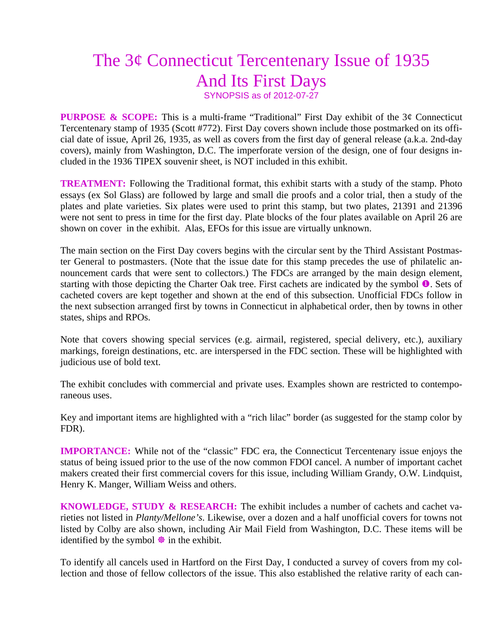## The 3¢ Connecticut Tercentenary Issue of 1935 And Its First Days SYNOPSIS as of 2012-07-27

**PURPOSE & SCOPE:** This is a multi-frame "Traditional" First Day exhibit of the 3¢ Connecticut Tercentenary stamp of 1935 (Scott #772). First Day covers shown include those postmarked on its official date of issue, April 26, 1935, as well as covers from the first day of general release (a.k.a. 2nd-day covers), mainly from Washington, D.C. The imperforate version of the design, one of four designs included in the 1936 TIPEX souvenir sheet, is NOT included in this exhibit.

**TREATMENT:** Following the Traditional format, this exhibit starts with a study of the stamp. Photo essays (ex Sol Glass) are followed by large and small die proofs and a color trial, then a study of the plates and plate varieties. Six plates were used to print this stamp, but two plates, 21391 and 21396 were not sent to press in time for the first day. Plate blocks of the four plates available on April 26 are shown on cover in the exhibit. Alas, EFOs for this issue are virtually unknown.

The main section on the First Day covers begins with the circular sent by the Third Assistant Postmaster General to postmasters. (Note that the issue date for this stamp precedes the use of philatelic announcement cards that were sent to collectors.) The FDCs are arranged by the main design element, starting with those depicting the Charter Oak tree. First cachets are indicated by the symbol  $\bullet$ . Sets of cacheted covers are kept together and shown at the end of this subsection. Unofficial FDCs follow in the next subsection arranged first by towns in Connecticut in alphabetical order, then by towns in other states, ships and RPOs.

Note that covers showing special services (e.g. airmail, registered, special delivery, etc.), auxiliary markings, foreign destinations, etc. are interspersed in the FDC section. These will be highlighted with judicious use of bold text.

The exhibit concludes with commercial and private uses. Examples shown are restricted to contemporaneous uses.

Key and important items are highlighted with a "rich lilac" border (as suggested for the stamp color by FDR).

**IMPORTANCE:** While not of the "classic" FDC era, the Connecticut Tercentenary issue enjoys the status of being issued prior to the use of the now common FDOI cancel. A number of important cachet makers created their first commercial covers for this issue, including William Grandy, O.W. Lindquist, Henry K. Manger, William Weiss and others.

**KNOWLEDGE, STUDY & RESEARCH:** The exhibit includes a number of cachets and cachet varieties not listed in *Planty/Mellone's*. Likewise, over a dozen and a half unofficial covers for towns not listed by Colby are also shown, including Air Mail Field from Washington, D.C. These items will be identified by the symbol  $\frac{1}{2}$  in the exhibit.

To identify all cancels used in Hartford on the First Day, I conducted a survey of covers from my collection and those of fellow collectors of the issue. This also established the relative rarity of each can